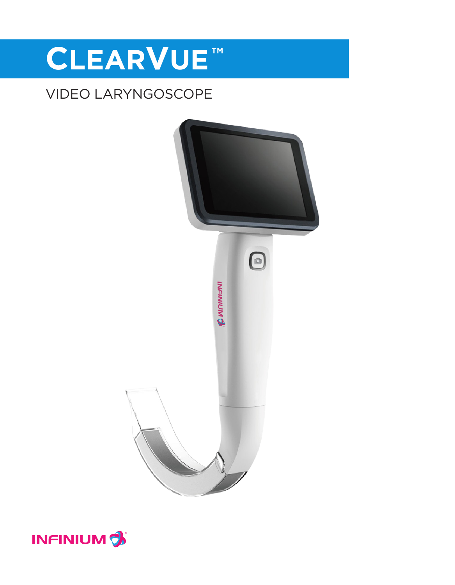# **CLEARVUE™**

### VIDEO LARYNGOSCOPE



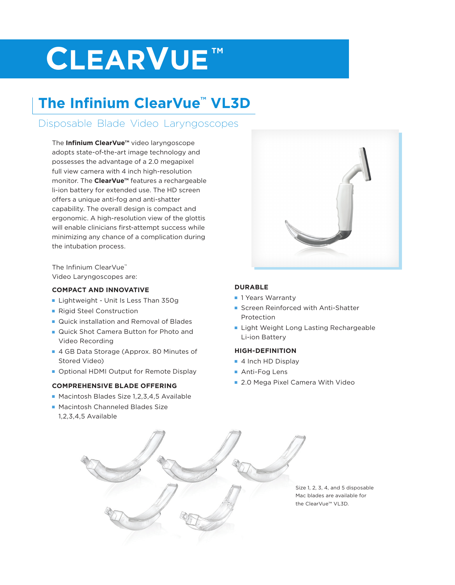## **CLEARVUE™**

## **The Infinium ClearVue™ VL3D**

### Disposable Blade Video Laryngoscopes

The **Infinium ClearVue™** video laryngoscope adopts state-of-the-art image technology and possesses the advantage of a 2.0 megapixel full view camera with 4 inch high-resolution monitor. The **ClearVue™** features a rechargeable li-ion battery for extended use. The HD screen offers a unique anti-fog and anti-shatter capability. The overall design is compact and ergonomic. A high-resolution view of the glottis will enable clinicians first-attempt success while minimizing any chance of a complication during the intubation process.

The Infinium ClearVue™ Video Laryngoscopes are:

#### **COMPACT AND INNOVATIVE**

- **Example 1 Lightweight Unit Is Less Than 350g**
- **Rigid Steel Construction**
- **n** Quick installation and Removal of Blades
- Quick Shot Camera Button for Photo and Video Recording
- 4 GB Data Storage (Approx. 80 Minutes of Stored Video)
- **DEDITION OPTION OUTPUT OF REMOTE DISPLAY**

#### **COMPREHENSIVE BLADE OFFERING**

- Macintosh Blades Size 1,2,3,4,5 Available
- Macintosh Channeled Blades Size 1,2,3,4,5 Available

#### **DURABLE**

- **n** 1 Years Warranty
- **Exercen Reinforced with Anti-Shatter** Protection
- **Example 1 Light Weight Long Lasting Rechargeable** Li-ion Battery

#### **HIGH-DEFINITION**

- 4 Inch HD Display
- Anti-Fog Lens
- 2.0 Mega Pixel Camera With Video